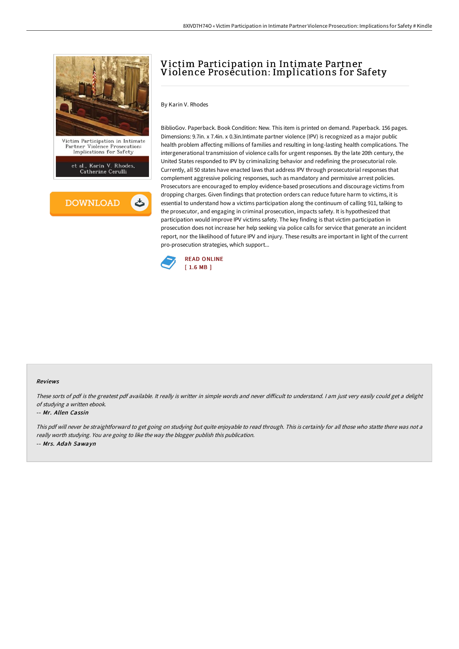

**DOWNLOAD** 

# Victim Participation in Intimate Partner Violence Prosecution: Implications for Safety

### By Karin V. Rhodes

BiblioGov. Paperback. Book Condition: New. This item is printed on demand. Paperback. 156 pages. Dimensions: 9.7in. x 7.4in. x 0.3in.Intimate partner violence (IPV) is recognized as a major public health problem affecting millions of families and resulting in long-lasting health complications. The intergenerational transmission of violence calls for urgent responses. By the late 20th century, the United States responded to IPV by criminalizing behavior and redefining the prosecutorial role. Currently, all 50 states have enacted laws that address IPV through prosecutorial responses that complement aggressive policing responses, such as mandatory and permissive arrest policies. Prosecutors are encouraged to employ evidence-based prosecutions and discourage victims from dropping charges. Given findings that protection orders can reduce future harm to victims, it is essential to understand how a victims participation along the continuum of calling 911, talking to the prosecutor, and engaging in criminal prosecution, impacts safety. It is hypothesized that participation would improve IPV victims safety. The key finding is that victim participation in prosecution does not increase her help seeking via police calls for service that generate an incident report, nor the likelihood of future IPV and injury. These results are important in light of the current pro-prosecution strategies, which support...



#### Reviews

These sorts of pdf is the greatest pdf available. It really is writter in simple words and never difficult to understand. I am just very easily could get a delight of studying <sup>a</sup> written ebook.

#### -- Mr. Allen Cassin

This pdf will never be straightforward to get going on studying but quite enjoyable to read through. This is certainly for all those who statte there was not <sup>a</sup> really worth studying. You are going to like the way the blogger publish this publication. -- Mrs. Adah Sawayn